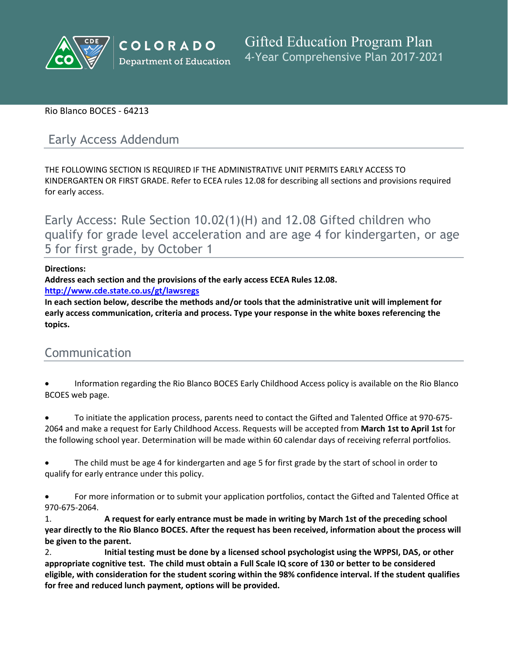

# Rio Blanco BOCES - 64213

# Early Access Addendum

THE FOLLOWING SECTION IS REQUIRED IF THE ADMINISTRATIVE UNIT PERMITS EARLY ACCESS TO KINDERGARTEN OR FIRST GRADE. Refer to ECEA rules 12.08 for describing all sections and provisions required for early access.

Early Access: Rule Section 10.02(1)(H) and 12.08 Gifted children who qualify for grade level acceleration and are age 4 for kindergarten, or age 5 for first grade, by October 1

# **Directions:**

**Address each section and the provisions of the early access ECEA Rules 12.08.**

**<http://www.cde.state.co.us/gt/lawsregs>**

**In each section below, describe the methods and/or tools that the administrative unit will implement for early access communication, criteria and process. Type your response in the white boxes referencing the topics.**

# Communication

 Information regarding the Rio Blanco BOCES Early Childhood Access policy is available on the Rio Blanco BCOES web page.

 To initiate the application process, parents need to contact the Gifted and Talented Office at 970-675- 2064 and make a request for Early Childhood Access. Requests will be accepted from **March 1st to April 1st** for the following school year. Determination will be made within 60 calendar days of receiving referral portfolios.

 The child must be age 4 for kindergarten and age 5 for first grade by the start of school in order to qualify for early entrance under this policy.

 For more information or to submit your application portfolios, contact the Gifted and Talented Office at 970-675-2064.

1. **A request for early entrance must be made in writing by March 1st of the preceding school** year directly to the Rio Blanco BOCES. After the request has been received, information about the process will **be given to the parent.**

2. **Initial testing must be done by a licensed school psychologist using the WPPSI, DAS, or other** appropriate cognitive test. The child must obtain a Full Scale IQ score of 130 or better to be considered eligible, with consideration for the student scoring within the 98% confidence interval. If the student qualifies **for free and reduced lunch payment, options will be provided.**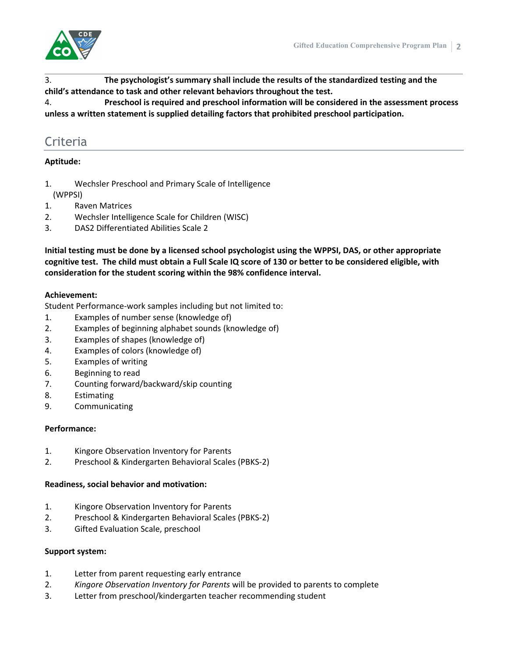

3. **The psychologist's summary shall include the results of the standardized testing and the child's attendance to task and other relevant behaviors throughout the test.**

4. **Preschool is required and preschool information will be considered in the assessment process unless a written statement is supplied detailing factors that prohibited preschool participation.**

# Criteria

# **Aptitude:**

- 1. Wechsler Preschool and Primary Scale of Intelligence
- (WPPSI)
- 1. Raven Matrices
- 2. Wechsler Intelligence Scale for Children (WISC)
- 3. DAS2 Differentiated Abilities Scale 2

**Initial testing must be done by a licensed school psychologist using the WPPSI, DAS, or other appropriate** cognitive test. The child must obtain a Full Scale IQ score of 130 or better to be considered eligible, with **consideration for the student scoring within the 98% confidence interval.**

#### **Achievement:**

Student Performance-work samples including but not limited to:

- 1. Examples of number sense (knowledge of)
- 2. Examples of beginning alphabet sounds (knowledge of)
- 3. Examples of shapes (knowledge of)
- 4. Examples of colors (knowledge of)
- 5. Examples of writing
- 6. Beginning to read
- 7. Counting forward/backward/skip counting
- 8. Estimating
- 9. Communicating

#### **Performance:**

- 1. Kingore Observation Inventory for Parents
- 2. Preschool & Kindergarten Behavioral Scales (PBKS-2)

#### **Readiness, social behavior and motivation:**

- 1. Kingore Observation Inventory for Parents
- 2. Preschool & Kindergarten Behavioral Scales (PBKS-2)
- 3. Gifted Evaluation Scale, preschool

#### **Support system:**

- 1. Letter from parent requesting early entrance
- 2. *Kingore Observation Inventory for Parents* will be provided to parents to complete
- 3. Letter from preschool/kindergarten teacher recommending student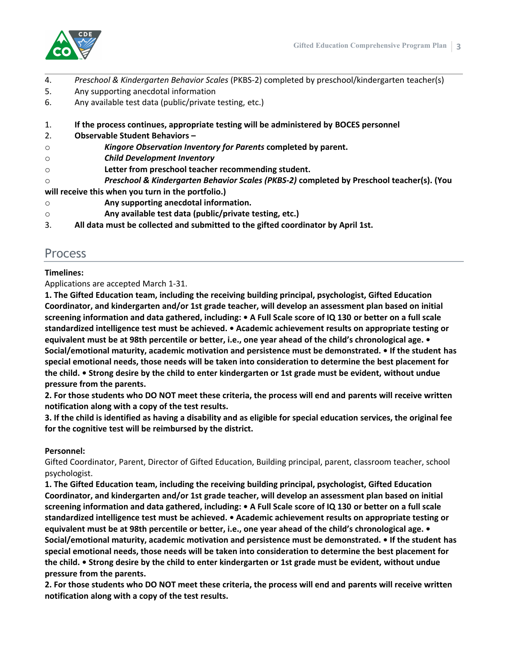

- 4. *Preschool & Kindergarten Behavior Scales* (PKBS-2) completed by preschool/kindergarten teacher(s)
- 5. Any supporting anecdotal information
- 6. Any available test data (public/private testing, etc.)
- 1. **If the process continues, appropriate testing will be administered by BOCES personnel**
- 2. **Observable Student Behaviors –**
- o *Kingore Observation Inventory for Parents* **completed by parent.**
- o *Child Development Inventory*
- o **Letter from preschool teacher recommending student.**
- o *Preschool & Kindergarten Behavior Scales (PKBS-2)* **completed by Preschool teacher(s). (You**
- **will receive this when you turn in the portfolio.)**
- o **Any supporting anecdotal information.**
- o **Any available test data (public/private testing, etc.)**
- 3. **All data must be collected and submitted to the gifted coordinator by April 1st.**

# Process

# **Timelines:**

Applications are accepted March 1-31.

**1. The Gifted Education team, including the receiving building principal, psychologist, Gifted Education Coordinator, and kindergarten and/or 1st grade teacher, will develop an assessment plan based on initial** screening information and data gathered, including: • A Full Scale score of IQ 130 or better on a full scale **standardized intelligence test must be achieved. • Academic achievement results on appropriate testing or** equivalent must be at 98th percentile or better, i.e., one year ahead of the child's chronological age. • **Social/emotional maturity, academic motivation and persistence must be demonstrated. • If the student has special emotional needs, those needs will be taken into consideration to determine the best placement for** the child. • Strong desire by the child to enter kindergarten or 1st grade must be evident, without undue **pressure from the parents.**

2. For those students who DO NOT meet these criteria, the process will end and parents will receive written **notification along with a copy of the test results.**

3. If the child is identified as having a disability and as eligible for special education services, the original fee **for the cognitive test will be reimbursed by the district.**

### **Personnel:**

Gifted Coordinator, Parent, Director of Gifted Education, Building principal, parent, classroom teacher, school psychologist.

**1. The Gifted Education team, including the receiving building principal, psychologist, Gifted Education Coordinator, and kindergarten and/or 1st grade teacher, will develop an assessment plan based on initial** screening information and data gathered, including: • A Full Scale score of IQ 130 or better on a full scale **standardized intelligence test must be achieved. • Academic achievement results on appropriate testing or** equivalent must be at 98th percentile or better, i.e., one year ahead of the child's chronological age.  $\bullet$ **Social/emotional maturity, academic motivation and persistence must be demonstrated. • If the student has special emotional needs, those needs will be taken into consideration to determine the best placement for** the child. • Strong desire by the child to enter kindergarten or 1st grade must be evident, without undue **pressure from the parents.**

2. For those students who DO NOT meet these criteria, the process will end and parents will receive written **notification along with a copy of the test results.**